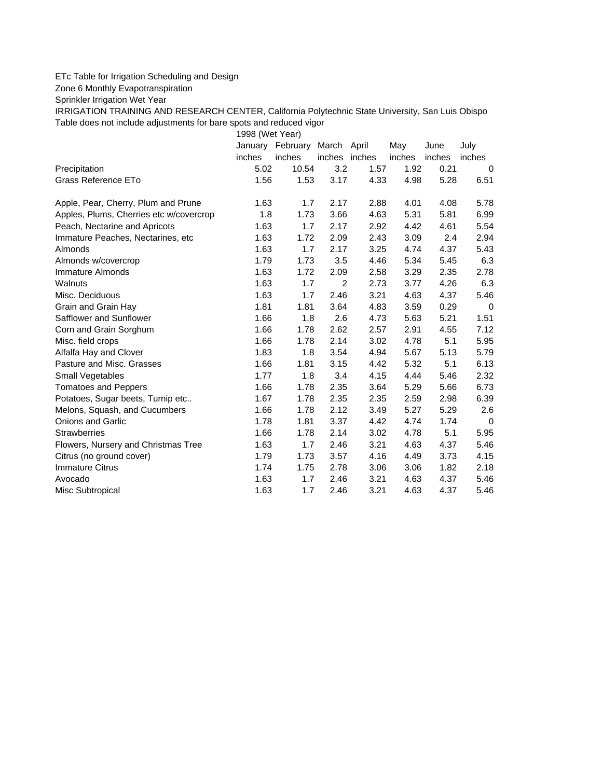## ETc Table for Irrigation Scheduling and Design

Zone 6 Monthly Evapotranspiration

Sprinkler Irrigation Wet Year

IRRIGATION TRAINING AND RESEARCH CENTER, California Polytechnic State University, San Luis Obispo Table does not include adjustments for bare spots and reduced vigor

1998 (Wet Year)

|                                         | January | February | March          | April | May    | June   | July     |
|-----------------------------------------|---------|----------|----------------|-------|--------|--------|----------|
|                                         | inches  | inches   | inches inches  |       | inches | inches | inches   |
| Precipitation                           | 5.02    | 10.54    | 3.2            | 1.57  | 1.92   | 0.21   | 0        |
| Grass Reference ETo                     | 1.56    | 1.53     | 3.17           | 4.33  | 4.98   | 5.28   | 6.51     |
| Apple, Pear, Cherry, Plum and Prune     | 1.63    | 1.7      | 2.17           | 2.88  | 4.01   | 4.08   | 5.78     |
| Apples, Plums, Cherries etc w/covercrop | 1.8     | 1.73     | 3.66           | 4.63  | 5.31   | 5.81   | 6.99     |
| Peach, Nectarine and Apricots           | 1.63    | 1.7      | 2.17           | 2.92  | 4.42   | 4.61   | 5.54     |
| Immature Peaches, Nectarines, etc.      | 1.63    | 1.72     | 2.09           | 2.43  | 3.09   | 2.4    | 2.94     |
| Almonds                                 | 1.63    | 1.7      | 2.17           | 3.25  | 4.74   | 4.37   | 5.43     |
| Almonds w/covercrop                     | 1.79    | 1.73     | 3.5            | 4.46  | 5.34   | 5.45   | 6.3      |
| Immature Almonds                        | 1.63    | 1.72     | 2.09           | 2.58  | 3.29   | 2.35   | 2.78     |
| Walnuts                                 | 1.63    | 1.7      | $\overline{c}$ | 2.73  | 3.77   | 4.26   | 6.3      |
| Misc. Deciduous                         | 1.63    | 1.7      | 2.46           | 3.21  | 4.63   | 4.37   | 5.46     |
| Grain and Grain Hay                     | 1.81    | 1.81     | 3.64           | 4.83  | 3.59   | 0.29   | 0        |
| Safflower and Sunflower                 | 1.66    | 1.8      | 2.6            | 4.73  | 5.63   | 5.21   | 1.51     |
| Corn and Grain Sorghum                  | 1.66    | 1.78     | 2.62           | 2.57  | 2.91   | 4.55   | 7.12     |
| Misc. field crops                       | 1.66    | 1.78     | 2.14           | 3.02  | 4.78   | 5.1    | 5.95     |
| Alfalfa Hay and Clover                  | 1.83    | 1.8      | 3.54           | 4.94  | 5.67   | 5.13   | 5.79     |
| Pasture and Misc. Grasses               | 1.66    | 1.81     | 3.15           | 4.42  | 5.32   | 5.1    | 6.13     |
| Small Vegetables                        | 1.77    | 1.8      | 3.4            | 4.15  | 4.44   | 5.46   | 2.32     |
| <b>Tomatoes and Peppers</b>             | 1.66    | 1.78     | 2.35           | 3.64  | 5.29   | 5.66   | 6.73     |
| Potatoes, Sugar beets, Turnip etc       | 1.67    | 1.78     | 2.35           | 2.35  | 2.59   | 2.98   | 6.39     |
| Melons, Squash, and Cucumbers           | 1.66    | 1.78     | 2.12           | 3.49  | 5.27   | 5.29   | 2.6      |
| <b>Onions and Garlic</b>                | 1.78    | 1.81     | 3.37           | 4.42  | 4.74   | 1.74   | $\Omega$ |
| <b>Strawberries</b>                     | 1.66    | 1.78     | 2.14           | 3.02  | 4.78   | 5.1    | 5.95     |
| Flowers, Nursery and Christmas Tree     | 1.63    | 1.7      | 2.46           | 3.21  | 4.63   | 4.37   | 5.46     |
| Citrus (no ground cover)                | 1.79    | 1.73     | 3.57           | 4.16  | 4.49   | 3.73   | 4.15     |
| <b>Immature Citrus</b>                  | 1.74    | 1.75     | 2.78           | 3.06  | 3.06   | 1.82   | 2.18     |
| Avocado                                 | 1.63    | 1.7      | 2.46           | 3.21  | 4.63   | 4.37   | 5.46     |
| Misc Subtropical                        | 1.63    | 1.7      | 2.46           | 3.21  | 4.63   | 4.37   | 5.46     |